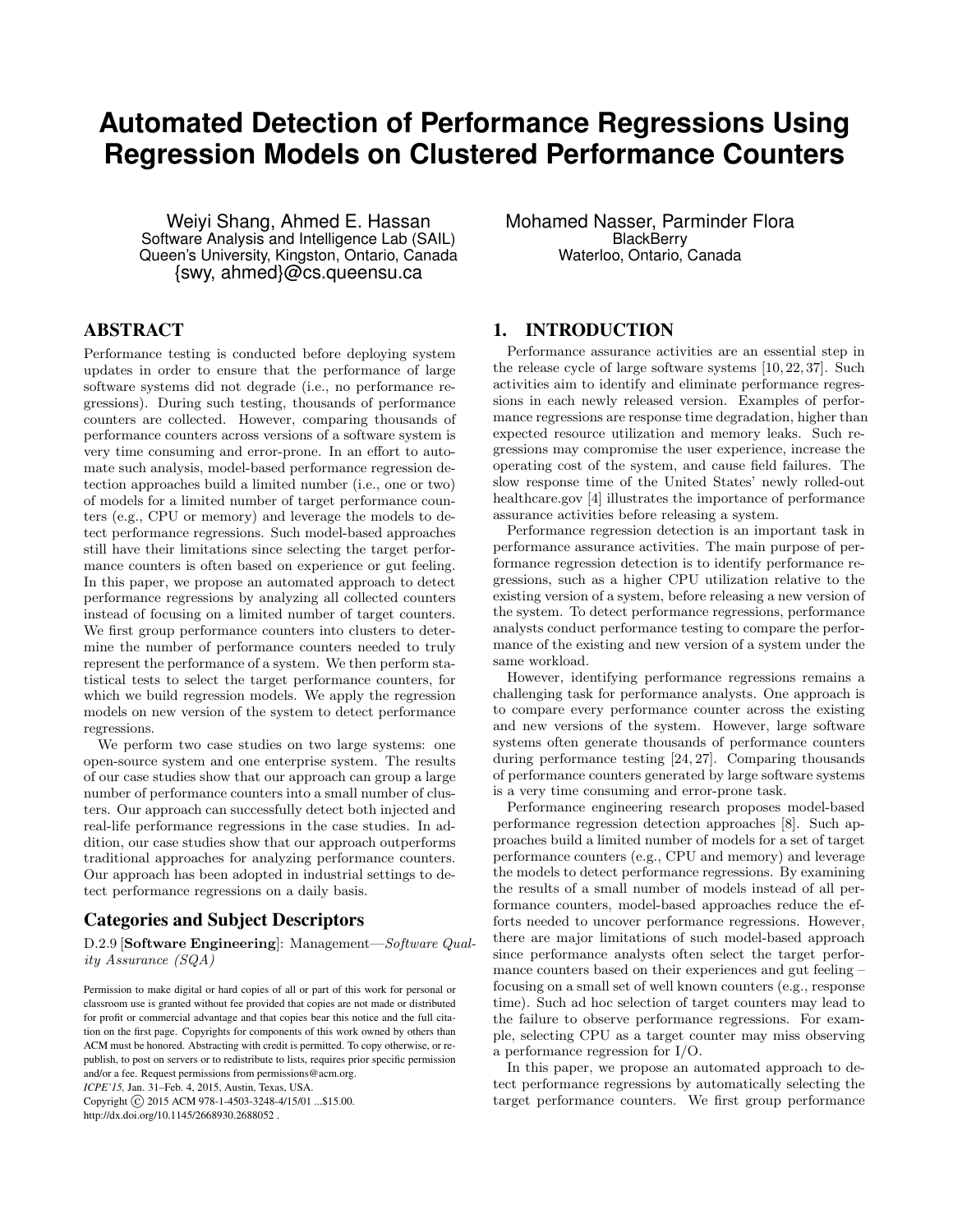# **Automated Detection of Performance Regressions Using Regression Models on Clustered Performance Counters**

Weiyi Shang, Ahmed E. Hassan Software Analysis and Intelligence Lab (SAIL) Queen's University, Kingston, Ontario, Canada {swy, ahmed}@cs.queensu.ca

# ABSTRACT

Performance testing is conducted before deploying system updates in order to ensure that the performance of large software systems did not degrade (i.e., no performance regressions). During such testing, thousands of performance counters are collected. However, comparing thousands of performance counters across versions of a software system is very time consuming and error-prone. In an effort to automate such analysis, model-based performance regression detection approaches build a limited number (i.e., one or two) of models for a limited number of target performance counters (e.g., CPU or memory) and leverage the models to detect performance regressions. Such model-based approaches still have their limitations since selecting the target performance counters is often based on experience or gut feeling. In this paper, we propose an automated approach to detect performance regressions by analyzing all collected counters instead of focusing on a limited number of target counters. We first group performance counters into clusters to determine the number of performance counters needed to truly represent the performance of a system. We then perform statistical tests to select the target performance counters, for which we build regression models. We apply the regression models on new version of the system to detect performance regressions.

We perform two case studies on two large systems: one open-source system and one enterprise system. The results of our case studies show that our approach can group a large number of performance counters into a small number of clusters. Our approach can successfully detect both injected and real-life performance regressions in the case studies. In addition, our case studies show that our approach outperforms traditional approaches for analyzing performance counters. Our approach has been adopted in industrial settings to detect performance regressions on a daily basis.

# Categories and Subject Descriptors

D.2.9 [Software Engineering]: Management—Software Quality Assurance (SQA)

Permission to make digital or hard copies of all or part of this work for personal or classroom use is granted without fee provided that copies are not made or distributed for profit or commercial advantage and that copies bear this notice and the full citation on the first page. Copyrights for components of this work owned by others than ACM must be honored. Abstracting with credit is permitted. To copy otherwise, or republish, to post on servers or to redistribute to lists, requires prior specific permission and/or a fee. Request permissions from permissions@acm.org.

*ICPE'15,* Jan. 31–Feb. 4, 2015, Austin, Texas, USA.

Copyright (C) 2015 ACM 978-1-4503-3248-4/15/01 ... \$15.00. http://dx.doi.org/10.1145/2668930.2688052 .

Mohamed Nasser, Parminder Flora **BlackBerry** Waterloo, Ontario, Canada

# 1. INTRODUCTION

Performance assurance activities are an essential step in the release cycle of large software systems [10, 22, 37]. Such activities aim to identify and eliminate performance regressions in each newly released version. Examples of performance regressions are response time degradation, higher than expected resource utilization and memory leaks. Such regressions may compromise the user experience, increase the operating cost of the system, and cause field failures. The slow response time of the United States' newly rolled-out healthcare.gov [4] illustrates the importance of performance assurance activities before releasing a system.

Performance regression detection is an important task in performance assurance activities. The main purpose of performance regression detection is to identify performance regressions, such as a higher CPU utilization relative to the existing version of a system, before releasing a new version of the system. To detect performance regressions, performance analysts conduct performance testing to compare the performance of the existing and new version of a system under the same workload.

However, identifying performance regressions remains a challenging task for performance analysts. One approach is to compare every performance counter across the existing and new versions of the system. However, large software systems often generate thousands of performance counters during performance testing [24, 27]. Comparing thousands of performance counters generated by large software systems is a very time consuming and error-prone task.

Performance engineering research proposes model-based performance regression detection approaches [8]. Such approaches build a limited number of models for a set of target performance counters (e.g., CPU and memory) and leverage the models to detect performance regressions. By examining the results of a small number of models instead of all performance counters, model-based approaches reduce the efforts needed to uncover performance regressions. However, there are major limitations of such model-based approach since performance analysts often select the target performance counters based on their experiences and gut feeling – focusing on a small set of well known counters (e.g., response time). Such ad hoc selection of target counters may lead to the failure to observe performance regressions. For example, selecting CPU as a target counter may miss observing a performance regression for I/O.

In this paper, we propose an automated approach to detect performance regressions by automatically selecting the target performance counters. We first group performance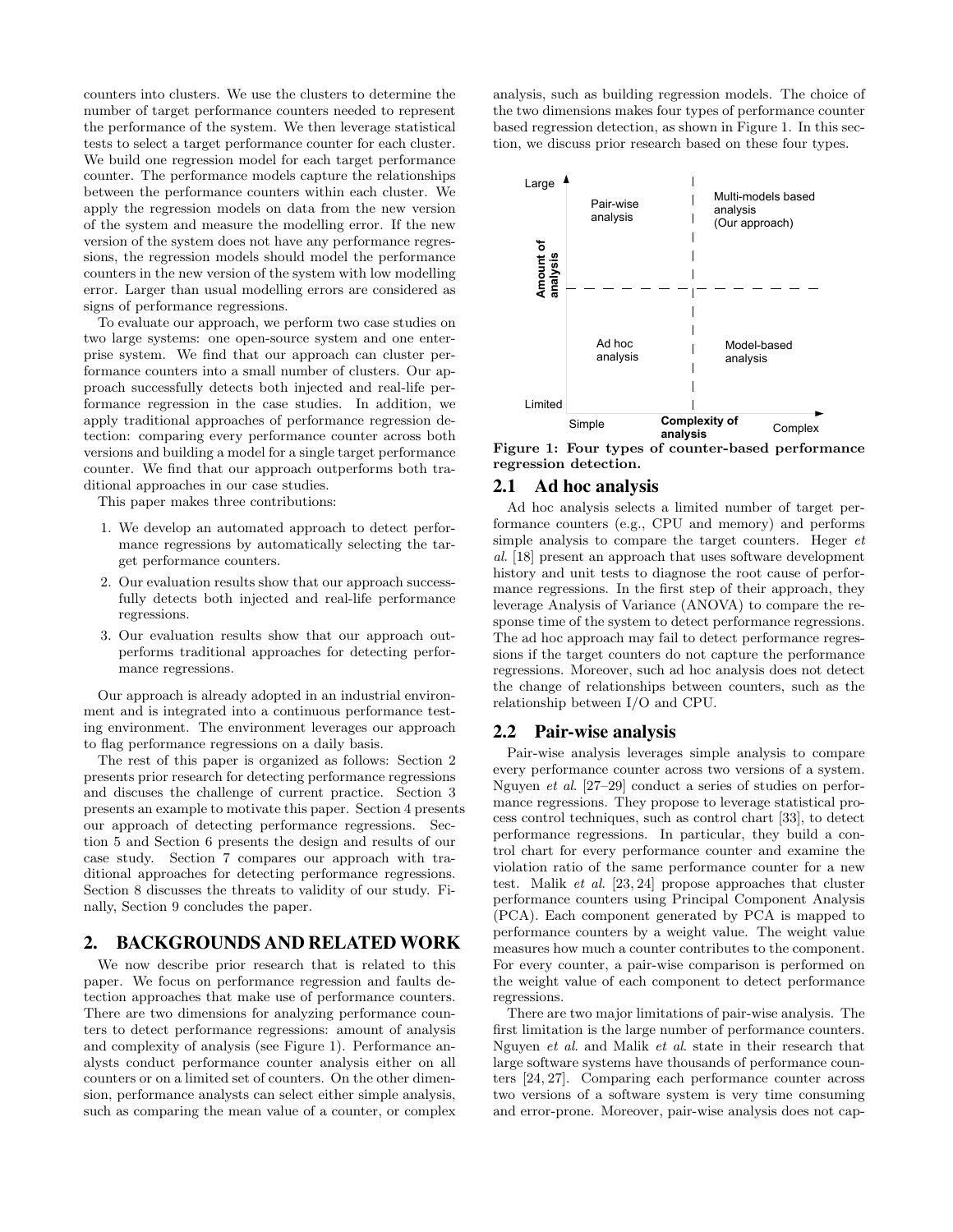counters into clusters. We use the clusters to determine the number of target performance counters needed to represent the performance of the system. We then leverage statistical tests to select a target performance counter for each cluster. We build one regression model for each target performance counter. The performance models capture the relationships between the performance counters within each cluster. We apply the regression models on data from the new version of the system and measure the modelling error. If the new version of the system does not have any performance regressions, the regression models should model the performance counters in the new version of the system with low modelling error. Larger than usual modelling errors are considered as signs of performance regressions.

To evaluate our approach, we perform two case studies on two large systems: one open-source system and one enterprise system. We find that our approach can cluster performance counters into a small number of clusters. Our approach successfully detects both injected and real-life performance regression in the case studies. In addition, we apply traditional approaches of performance regression detection: comparing every performance counter across both versions and building a model for a single target performance counter. We find that our approach outperforms both traditional approaches in our case studies.

This paper makes three contributions:

- 1. We develop an automated approach to detect performance regressions by automatically selecting the target performance counters.
- 2. Our evaluation results show that our approach successfully detects both injected and real-life performance regressions.
- 3. Our evaluation results show that our approach outperforms traditional approaches for detecting performance regressions.

Our approach is already adopted in an industrial environment and is integrated into a continuous performance testing environment. The environment leverages our approach to flag performance regressions on a daily basis.

The rest of this paper is organized as follows: Section 2 presents prior research for detecting performance regressions and discuses the challenge of current practice. Section 3 presents an example to motivate this paper. Section 4 presents our approach of detecting performance regressions. Section 5 and Section 6 presents the design and results of our case study. Section 7 compares our approach with traditional approaches for detecting performance regressions. Section 8 discusses the threats to validity of our study. Finally, Section 9 concludes the paper.

# 2. BACKGROUNDS AND RELATED WORK

We now describe prior research that is related to this paper. We focus on performance regression and faults detection approaches that make use of performance counters. There are two dimensions for analyzing performance counters to detect performance regressions: amount of analysis and complexity of analysis (see Figure 1). Performance analysts conduct performance counter analysis either on all counters or on a limited set of counters. On the other dimension, performance analysts can select either simple analysis, such as comparing the mean value of a counter, or complex analysis, such as building regression models. The choice of the two dimensions makes four types of performance counter based regression detection, as shown in Figure 1. In this section, we discuss prior research based on these four types.



Figure 1: Four types of counter-based performance regression detection.

#### 2.1 Ad hoc analysis

Ad hoc analysis selects a limited number of target performance counters (e.g., CPU and memory) and performs simple analysis to compare the target counters. Heger et al. [18] present an approach that uses software development history and unit tests to diagnose the root cause of performance regressions. In the first step of their approach, they leverage Analysis of Variance (ANOVA) to compare the response time of the system to detect performance regressions. The ad hoc approach may fail to detect performance regressions if the target counters do not capture the performance regressions. Moreover, such ad hoc analysis does not detect the change of relationships between counters, such as the relationship between I/O and CPU.

#### 2.2 Pair-wise analysis

Pair-wise analysis leverages simple analysis to compare every performance counter across two versions of a system. Nguyen et al. [27–29] conduct a series of studies on performance regressions. They propose to leverage statistical process control techniques, such as control chart [33], to detect performance regressions. In particular, they build a control chart for every performance counter and examine the violation ratio of the same performance counter for a new test. Malik et al. [23, 24] propose approaches that cluster performance counters using Principal Component Analysis (PCA). Each component generated by PCA is mapped to performance counters by a weight value. The weight value measures how much a counter contributes to the component. For every counter, a pair-wise comparison is performed on the weight value of each component to detect performance regressions.

There are two major limitations of pair-wise analysis. The first limitation is the large number of performance counters. Nguyen et al. and Malik et al. state in their research that large software systems have thousands of performance counters [24, 27]. Comparing each performance counter across two versions of a software system is very time consuming and error-prone. Moreover, pair-wise analysis does not cap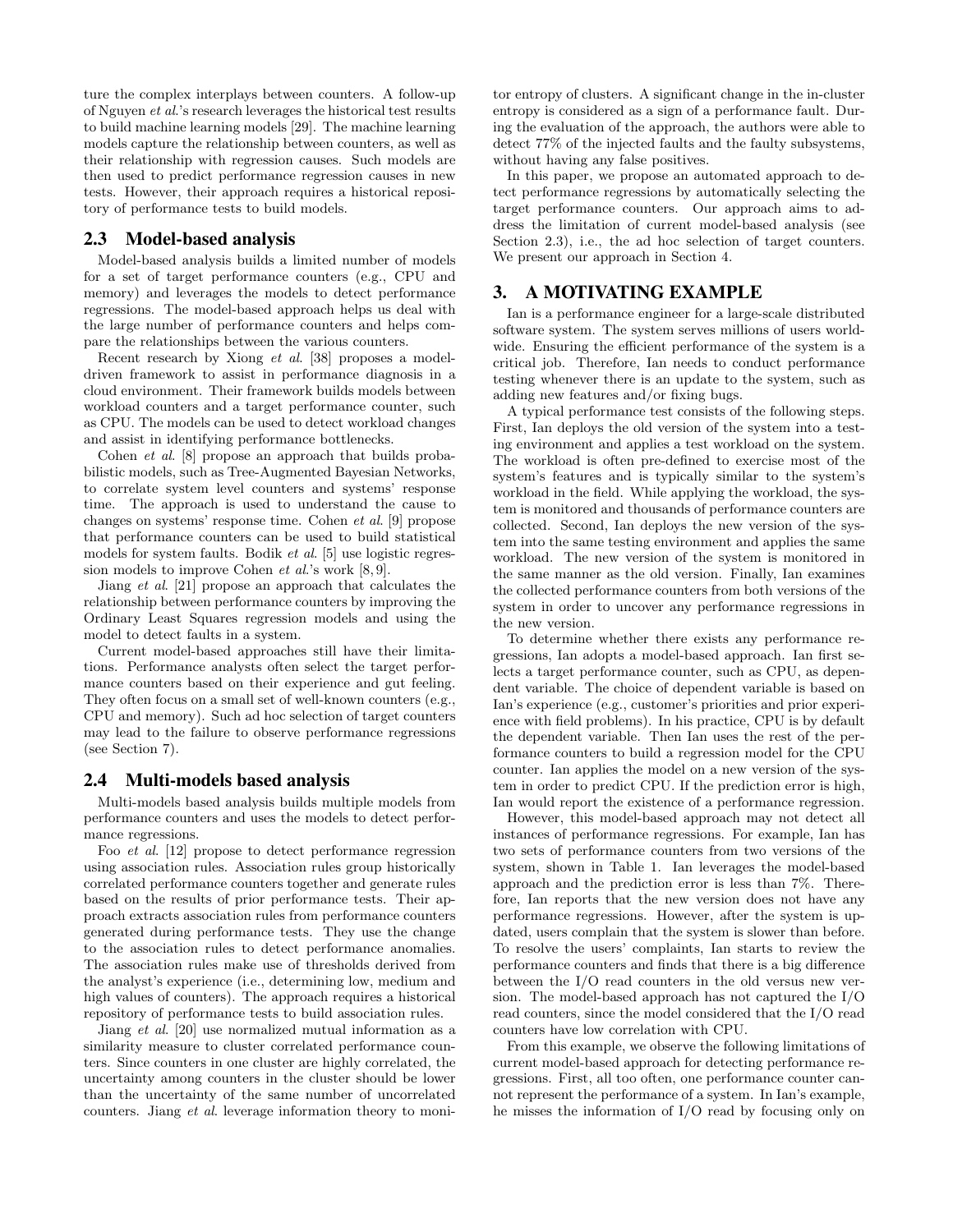ture the complex interplays between counters. A follow-up of Nguyen et al.'s research leverages the historical test results to build machine learning models [29]. The machine learning models capture the relationship between counters, as well as their relationship with regression causes. Such models are then used to predict performance regression causes in new tests. However, their approach requires a historical repository of performance tests to build models.

### 2.3 Model-based analysis

Model-based analysis builds a limited number of models for a set of target performance counters (e.g., CPU and memory) and leverages the models to detect performance regressions. The model-based approach helps us deal with the large number of performance counters and helps compare the relationships between the various counters.

Recent research by Xiong et al. [38] proposes a modeldriven framework to assist in performance diagnosis in a cloud environment. Their framework builds models between workload counters and a target performance counter, such as CPU. The models can be used to detect workload changes and assist in identifying performance bottlenecks.

Cohen et al. [8] propose an approach that builds probabilistic models, such as Tree-Augmented Bayesian Networks, to correlate system level counters and systems' response time. The approach is used to understand the cause to changes on systems' response time. Cohen et al. [9] propose that performance counters can be used to build statistical models for system faults. Bodik *et al.* [5] use logistic regression models to improve Cohen et al.'s work [8, 9].

Jiang et al. [21] propose an approach that calculates the relationship between performance counters by improving the Ordinary Least Squares regression models and using the model to detect faults in a system.

Current model-based approaches still have their limitations. Performance analysts often select the target performance counters based on their experience and gut feeling. They often focus on a small set of well-known counters (e.g., CPU and memory). Such ad hoc selection of target counters may lead to the failure to observe performance regressions (see Section 7).

#### 2.4 Multi-models based analysis

Multi-models based analysis builds multiple models from performance counters and uses the models to detect performance regressions.

Foo et al. [12] propose to detect performance regression using association rules. Association rules group historically correlated performance counters together and generate rules based on the results of prior performance tests. Their approach extracts association rules from performance counters generated during performance tests. They use the change to the association rules to detect performance anomalies. The association rules make use of thresholds derived from the analyst's experience (i.e., determining low, medium and high values of counters). The approach requires a historical repository of performance tests to build association rules.

Jiang et al. [20] use normalized mutual information as a similarity measure to cluster correlated performance counters. Since counters in one cluster are highly correlated, the uncertainty among counters in the cluster should be lower than the uncertainty of the same number of uncorrelated counters. Jiang et al. leverage information theory to monitor entropy of clusters. A significant change in the in-cluster entropy is considered as a sign of a performance fault. During the evaluation of the approach, the authors were able to detect 77% of the injected faults and the faulty subsystems, without having any false positives.

In this paper, we propose an automated approach to detect performance regressions by automatically selecting the target performance counters. Our approach aims to address the limitation of current model-based analysis (see Section 2.3), i.e., the ad hoc selection of target counters. We present our approach in Section 4.

### 3. A MOTIVATING EXAMPLE

Ian is a performance engineer for a large-scale distributed software system. The system serves millions of users worldwide. Ensuring the efficient performance of the system is a critical job. Therefore, Ian needs to conduct performance testing whenever there is an update to the system, such as adding new features and/or fixing bugs.

A typical performance test consists of the following steps. First, Ian deploys the old version of the system into a testing environment and applies a test workload on the system. The workload is often pre-defined to exercise most of the system's features and is typically similar to the system's workload in the field. While applying the workload, the system is monitored and thousands of performance counters are collected. Second, Ian deploys the new version of the system into the same testing environment and applies the same workload. The new version of the system is monitored in the same manner as the old version. Finally, Ian examines the collected performance counters from both versions of the system in order to uncover any performance regressions in the new version.

To determine whether there exists any performance regressions, Ian adopts a model-based approach. Ian first selects a target performance counter, such as CPU, as dependent variable. The choice of dependent variable is based on Ian's experience (e.g., customer's priorities and prior experience with field problems). In his practice, CPU is by default the dependent variable. Then Ian uses the rest of the performance counters to build a regression model for the CPU counter. Ian applies the model on a new version of the system in order to predict CPU. If the prediction error is high, Ian would report the existence of a performance regression.

However, this model-based approach may not detect all instances of performance regressions. For example, Ian has two sets of performance counters from two versions of the system, shown in Table 1. Ian leverages the model-based approach and the prediction error is less than 7%. Therefore, Ian reports that the new version does not have any performance regressions. However, after the system is updated, users complain that the system is slower than before. To resolve the users' complaints, Ian starts to review the performance counters and finds that there is a big difference between the I/O read counters in the old versus new version. The model-based approach has not captured the I/O read counters, since the model considered that the I/O read counters have low correlation with CPU.

From this example, we observe the following limitations of current model-based approach for detecting performance regressions. First, all too often, one performance counter cannot represent the performance of a system. In Ian's example, he misses the information of I/O read by focusing only on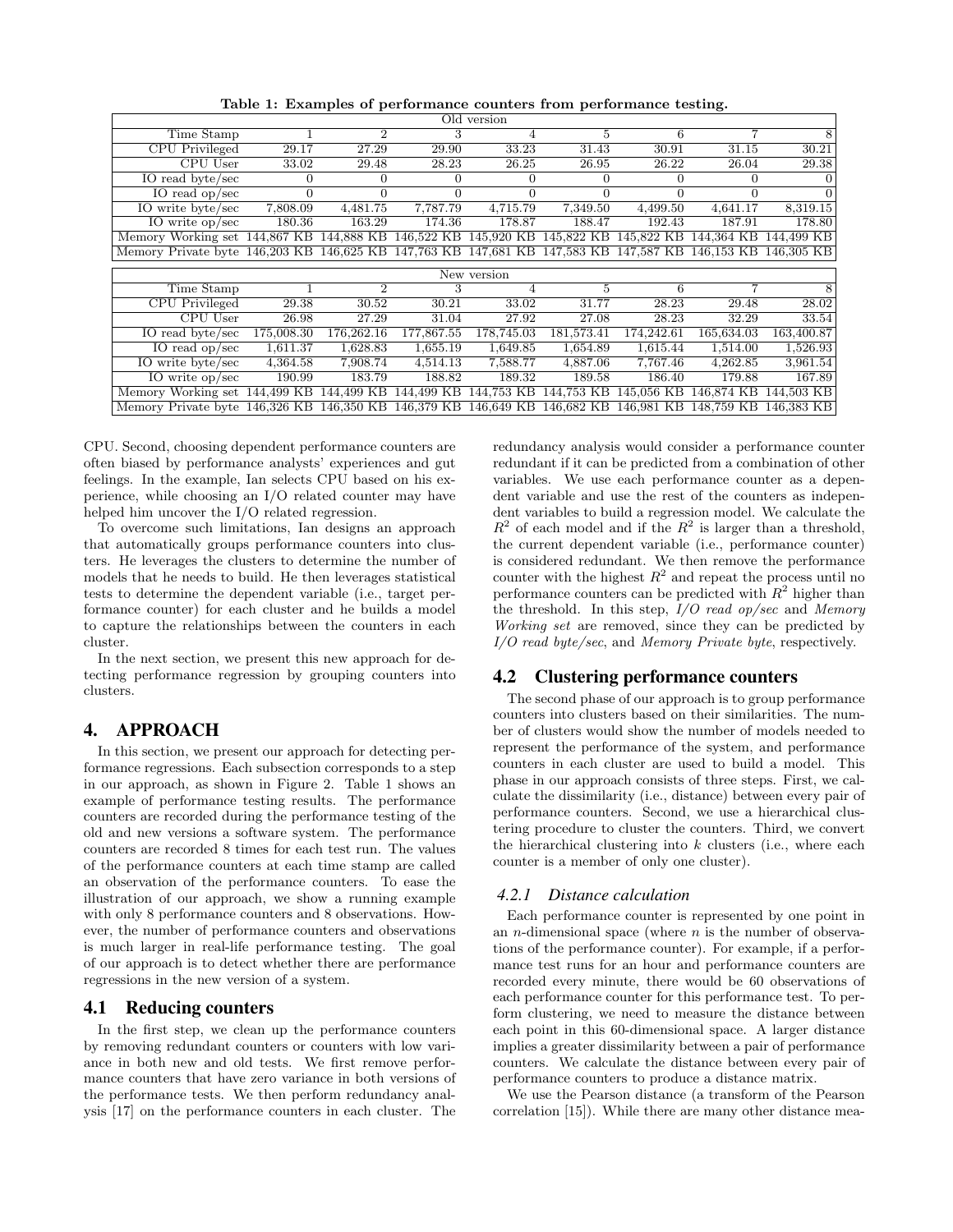|                                                                                                             |            |                       |            | Old version |            |            |            |            |
|-------------------------------------------------------------------------------------------------------------|------------|-----------------------|------------|-------------|------------|------------|------------|------------|
| Time Stamp                                                                                                  |            | $\overline{2}$        | 3          | 4           | 5          | 6          | 7          | 8          |
| <b>CPU</b> Privileged                                                                                       | 29.17      | 27.29                 | 29.90      | 33.23       | 31.43      | 30.91      | 31.15      | 30.21      |
| CPU User                                                                                                    | 33.02      | 29.48                 | 28.23      | 26.25       | 26.95      | 26.22      | 26.04      | 29.38      |
| IO read byte/sec                                                                                            | 0          | $\Omega$              | 0          | $\Omega$    | 0          | 0          | $\Omega$   | $\Omega$   |
| $\overline{IO}$ read op/sec                                                                                 | 0          | 0                     | 0          | 0           |            | 0          | $\Omega$   | $\Omega$   |
| IO write byte/sec                                                                                           | 7,808.09   | $4,48\overline{1.75}$ | 7,787.79   | 4,715.79    | 7,349.50   | 4,499.50   | 4,641.17   | 8,319.15   |
| IO write op/sec                                                                                             | 180.36     | 163.29                | 174.36     | 178.87      | 188.47     | 192.43     | 187.91     | 178.80     |
| Memory Working set 144,867 KB                                                                               |            | 144,888 KB            | 146,522 KB | 145,920 KB  | 145,822 KB | 145.822 KB | 144.364 KB | 144.499 KB |
| Memory Private byte 146,203 KB 146,625 KB 147,763 KB 147,681 KB 147,583 KB 147,587 KB 146,153 KB 146,305 KB |            |                       |            |             |            |            |            |            |
|                                                                                                             |            |                       |            |             |            |            |            |            |
|                                                                                                             |            |                       |            |             |            |            |            |            |
|                                                                                                             |            |                       |            | New version |            |            |            |            |
| Time Stamp                                                                                                  |            | $\overline{2}$        | з          | 4           | 5          | 6          |            | 8          |
| <b>CPU</b> Privileged                                                                                       | 29.38      | 30.52                 | 30.21      | 33.02       | 31.77      | 28.23      | 29.48      | 28.02      |
| CPU User                                                                                                    | 26.98      | 27.29                 | 31.04      | 27.92       | 27.08      | 28.23      | 32.29      | 33.54      |
| IO read byte/sec                                                                                            | 175,008.30 | 176,262.16            | 177,867.55 | 178,745.03  | 181,573.41 | 174,242.61 | 165,634.03 | 163,400.87 |
| $\overline{IO}$ read op/sec                                                                                 | 1,611.37   | 1,628.83              | 1,655.19   | 1,649.85    | 1,654.89   | 1,615.44   | 1,514.00   | 1,526.93   |
| IO write byte/sec                                                                                           | 4,364.58   | 7,908.74              | 4,514.13   | 7,588.77    | 4,887.06   | 7,767.46   | 4,262.85   | 3,961.54   |
| $\overline{IO}$ write op/sec                                                                                | 190.99     | 183.79                | 188.82     | 189.32      | 189.58     | 186.40     | 179.88     | 167.89     |
| Memory Working set 144,499 KB                                                                               |            | 144.499 KB            | 144,499 KB | 144,753 KB  | 144.753 KB | 145,056 KB | 146,874 KB | 144,503 KB |

Table 1: Examples of performance counters from performance testing.

CPU. Second, choosing dependent performance counters are often biased by performance analysts' experiences and gut feelings. In the example, Ian selects CPU based on his experience, while choosing an I/O related counter may have helped him uncover the I/O related regression.

To overcome such limitations, Ian designs an approach that automatically groups performance counters into clusters. He leverages the clusters to determine the number of models that he needs to build. He then leverages statistical tests to determine the dependent variable (i.e., target performance counter) for each cluster and he builds a model to capture the relationships between the counters in each cluster.

In the next section, we present this new approach for detecting performance regression by grouping counters into clusters.

# 4. APPROACH

In this section, we present our approach for detecting performance regressions. Each subsection corresponds to a step in our approach, as shown in Figure 2. Table 1 shows an example of performance testing results. The performance counters are recorded during the performance testing of the old and new versions a software system. The performance counters are recorded 8 times for each test run. The values of the performance counters at each time stamp are called an observation of the performance counters. To ease the illustration of our approach, we show a running example with only 8 performance counters and 8 observations. However, the number of performance counters and observations is much larger in real-life performance testing. The goal of our approach is to detect whether there are performance regressions in the new version of a system.

#### 4.1 Reducing counters

In the first step, we clean up the performance counters by removing redundant counters or counters with low variance in both new and old tests. We first remove performance counters that have zero variance in both versions of the performance tests. We then perform redundancy analysis [17] on the performance counters in each cluster. The

redundancy analysis would consider a performance counter redundant if it can be predicted from a combination of other variables. We use each performance counter as a dependent variable and use the rest of the counters as independent variables to build a regression model. We calculate the  $R^2$  of each model and if the  $R^2$  is larger than a threshold, the current dependent variable (i.e., performance counter) is considered redundant. We then remove the performance counter with the highest  $R^2$  and repeat the process until no performance counters can be predicted with  $R^2$  higher than the threshold. In this step,  $I/O$  read op/sec and Memory Working set are removed, since they can be predicted by I/O read byte/sec, and Memory Private byte, respectively.

### 4.2 Clustering performance counters

The second phase of our approach is to group performance counters into clusters based on their similarities. The number of clusters would show the number of models needed to represent the performance of the system, and performance counters in each cluster are used to build a model. This phase in our approach consists of three steps. First, we calculate the dissimilarity (i.e., distance) between every pair of performance counters. Second, we use a hierarchical clustering procedure to cluster the counters. Third, we convert the hierarchical clustering into  $k$  clusters (i.e., where each counter is a member of only one cluster).

#### *4.2.1 Distance calculation*

Each performance counter is represented by one point in an *n*-dimensional space (where  $n$  is the number of observations of the performance counter). For example, if a performance test runs for an hour and performance counters are recorded every minute, there would be 60 observations of each performance counter for this performance test. To perform clustering, we need to measure the distance between each point in this 60-dimensional space. A larger distance implies a greater dissimilarity between a pair of performance counters. We calculate the distance between every pair of performance counters to produce a distance matrix.

We use the Pearson distance (a transform of the Pearson correlation [15]). While there are many other distance mea-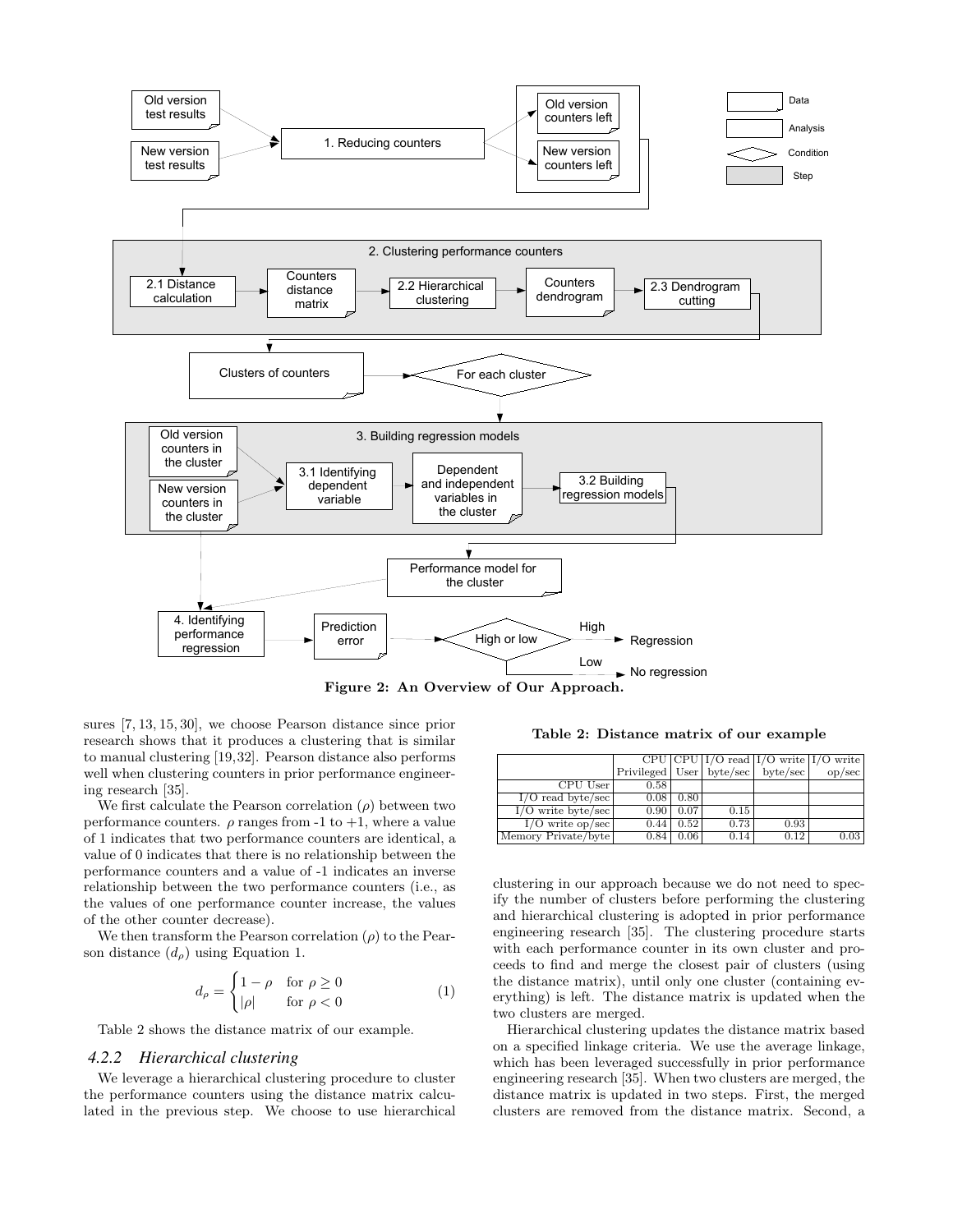

Figure 2: An Overview of Our Approach.

sures [7, 13, 15, 30], we choose Pearson distance since prior research shows that it produces a clustering that is similar to manual clustering [19,32]. Pearson distance also performs well when clustering counters in prior performance engineering research [35].

We first calculate the Pearson correlation  $(\rho)$  between two performance counters.  $\rho$  ranges from -1 to +1, where a value of 1 indicates that two performance counters are identical, a value of 0 indicates that there is no relationship between the performance counters and a value of -1 indicates an inverse relationship between the two performance counters (i.e., as the values of one performance counter increase, the values of the other counter decrease).

We then transform the Pearson correlation  $(\rho)$  to the Pearson distance  $(d_{\rho})$  using Equation 1.

$$
d_{\rho} = \begin{cases} 1 - \rho & \text{for } \rho \ge 0 \\ |\rho| & \text{for } \rho < 0 \end{cases}
$$
 (1)

Table 2 shows the distance matrix of our example.

### *4.2.2 Hierarchical clustering*

We leverage a hierarchical clustering procedure to cluster the performance counters using the distance matrix calculated in the previous step. We choose to use hierarchical

Table 2: Distance matrix of our example

|                      |                                         |      |      | $CPU$ CPU I/O read I/O write I/O write |        |
|----------------------|-----------------------------------------|------|------|----------------------------------------|--------|
|                      | Privileged   User   byte/sec   byte/sec |      |      |                                        | op/sec |
| CPU User             | 0.58                                    |      |      |                                        |        |
| $I/O$ read byte/sec  | 0.08                                    | 0.80 |      |                                        |        |
| $I/O$ write byte/sec | 0.901                                   | 0.07 | 0.15 |                                        |        |
| $I/O$ write op/sec   | 0.44                                    | 0.52 | 0.73 | 0.93                                   |        |
| Memory Private/byte  | 0.84                                    | 0.06 | 0.14 | 0.12                                   | 0.03   |

clustering in our approach because we do not need to specify the number of clusters before performing the clustering and hierarchical clustering is adopted in prior performance engineering research [35]. The clustering procedure starts with each performance counter in its own cluster and proceeds to find and merge the closest pair of clusters (using the distance matrix), until only one cluster (containing everything) is left. The distance matrix is updated when the two clusters are merged.

Hierarchical clustering updates the distance matrix based on a specified linkage criteria. We use the average linkage, which has been leveraged successfully in prior performance engineering research [35]. When two clusters are merged, the distance matrix is updated in two steps. First, the merged clusters are removed from the distance matrix. Second, a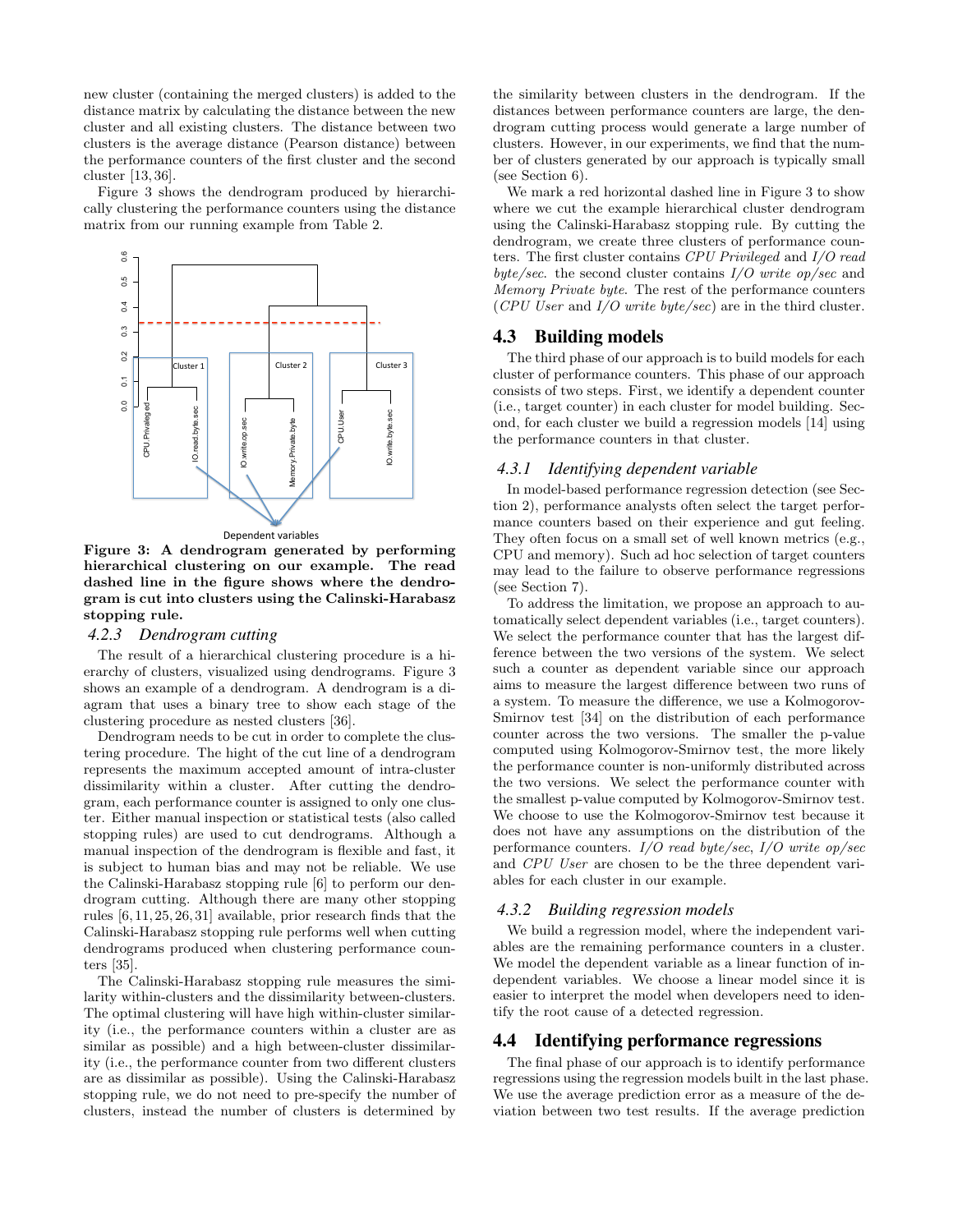new cluster (containing the merged clusters) is added to the distance matrix by calculating the distance between the new cluster and all existing clusters. The distance between two clusters is the average distance (Pearson distance) between the performance counters of the first cluster and the second cluster [13, 36].

Figure 3 shows the dendrogram produced by hierarchically clustering the performance counters using the distance matrix from our running example from Table 2.



Figure 3: A dendrogram generated by performing hierarchical clustering on our example. The read dashed line in the figure shows where the dendrogram is cut into clusters using the Calinski-Harabasz stopping rule.

#### *4.2.3 Dendrogram cutting*

The result of a hierarchical clustering procedure is a hierarchy of clusters, visualized using dendrograms. Figure 3 shows an example of a dendrogram. A dendrogram is a diagram that uses a binary tree to show each stage of the clustering procedure as nested clusters [36].

Dendrogram needs to be cut in order to complete the clustering procedure. The hight of the cut line of a dendrogram represents the maximum accepted amount of intra-cluster dissimilarity within a cluster. After cutting the dendrogram, each performance counter is assigned to only one cluster. Either manual inspection or statistical tests (also called stopping rules) are used to cut dendrograms. Although a manual inspection of the dendrogram is flexible and fast, it is subject to human bias and may not be reliable. We use the Calinski-Harabasz stopping rule [6] to perform our dendrogram cutting. Although there are many other stopping rules [6, 11, 25, 26, 31] available, prior research finds that the Calinski-Harabasz stopping rule performs well when cutting dendrograms produced when clustering performance counters [35].

The Calinski-Harabasz stopping rule measures the similarity within-clusters and the dissimilarity between-clusters. The optimal clustering will have high within-cluster similarity (i.e., the performance counters within a cluster are as similar as possible) and a high between-cluster dissimilarity (i.e., the performance counter from two different clusters are as dissimilar as possible). Using the Calinski-Harabasz stopping rule, we do not need to pre-specify the number of clusters, instead the number of clusters is determined by

the similarity between clusters in the dendrogram. If the distances between performance counters are large, the dendrogram cutting process would generate a large number of clusters. However, in our experiments, we find that the number of clusters generated by our approach is typically small (see Section 6).

We mark a red horizontal dashed line in Figure 3 to show where we cut the example hierarchical cluster dendrogram using the Calinski-Harabasz stopping rule. By cutting the dendrogram, we create three clusters of performance counters. The first cluster contains CPU Privileged and I/O read byte/sec. the second cluster contains  $I/O$  write op/sec and Memory Private byte. The rest of the performance counters (CPU User and I/O write byte/sec) are in the third cluster.

### 4.3 Building models

The third phase of our approach is to build models for each cluster of performance counters. This phase of our approach consists of two steps. First, we identify a dependent counter (i.e., target counter) in each cluster for model building. Second, for each cluster we build a regression models [14] using the performance counters in that cluster.

#### *4.3.1 Identifying dependent variable*

In model-based performance regression detection (see Section 2), performance analysts often select the target performance counters based on their experience and gut feeling. They often focus on a small set of well known metrics (e.g., CPU and memory). Such ad hoc selection of target counters may lead to the failure to observe performance regressions (see Section 7).

To address the limitation, we propose an approach to automatically select dependent variables (i.e., target counters). We select the performance counter that has the largest difference between the two versions of the system. We select such a counter as dependent variable since our approach aims to measure the largest difference between two runs of a system. To measure the difference, we use a Kolmogorov-Smirnov test [34] on the distribution of each performance counter across the two versions. The smaller the p-value computed using Kolmogorov-Smirnov test, the more likely the performance counter is non-uniformly distributed across the two versions. We select the performance counter with the smallest p-value computed by Kolmogorov-Smirnov test. We choose to use the Kolmogorov-Smirnov test because it does not have any assumptions on the distribution of the performance counters. I/O read byte/sec, I/O write op/sec and CPU User are chosen to be the three dependent variables for each cluster in our example.

#### *4.3.2 Building regression models*

We build a regression model, where the independent variables are the remaining performance counters in a cluster. We model the dependent variable as a linear function of independent variables. We choose a linear model since it is easier to interpret the model when developers need to identify the root cause of a detected regression.

#### 4.4 Identifying performance regressions

The final phase of our approach is to identify performance regressions using the regression models built in the last phase. We use the average prediction error as a measure of the deviation between two test results. If the average prediction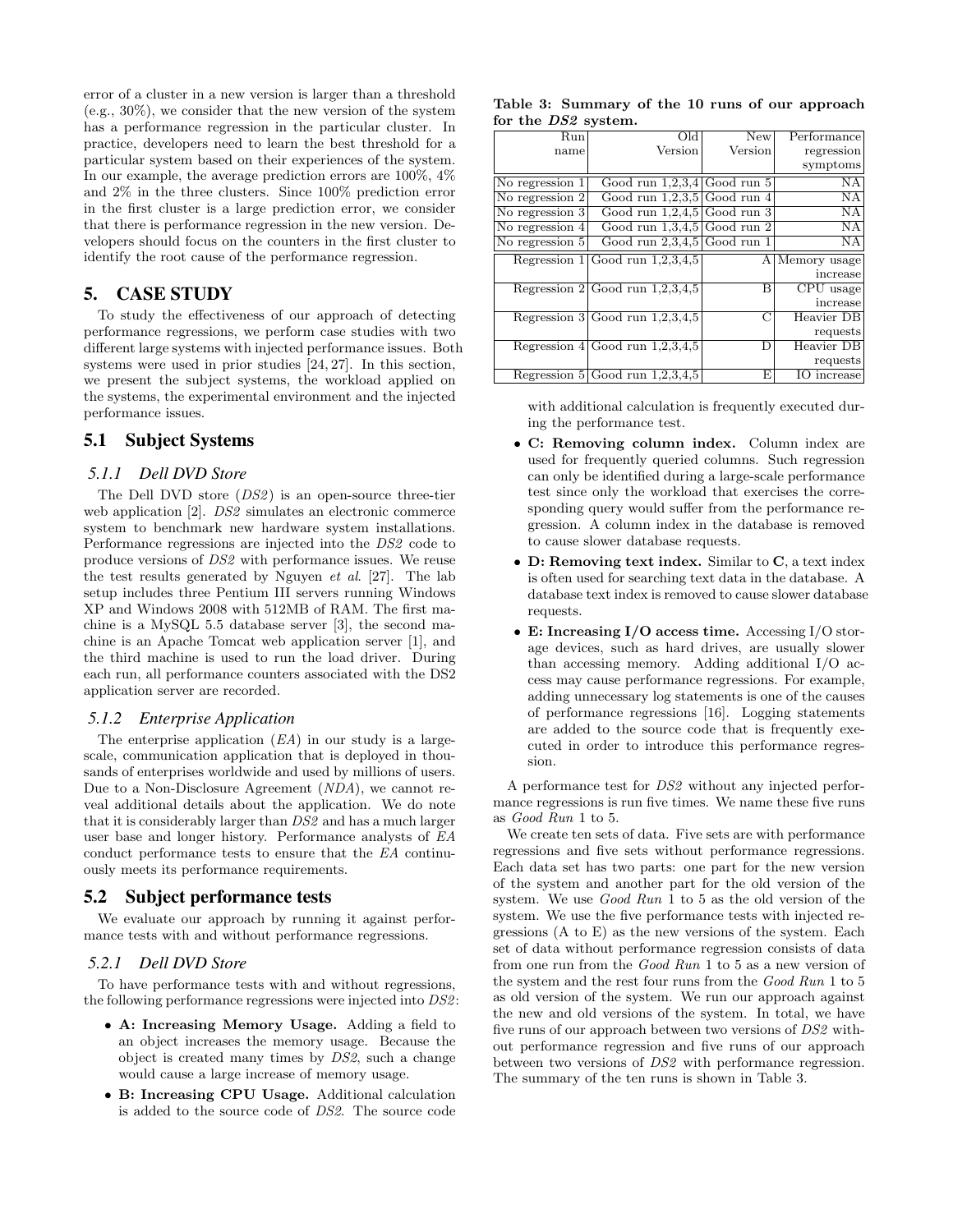error of a cluster in a new version is larger than a threshold (e.g., 30%), we consider that the new version of the system has a performance regression in the particular cluster. In practice, developers need to learn the best threshold for a particular system based on their experiences of the system. In our example, the average prediction errors are 100%, 4% and 2% in the three clusters. Since 100% prediction error in the first cluster is a large prediction error, we consider that there is performance regression in the new version. Developers should focus on the counters in the first cluster to identify the root cause of the performance regression.

### 5. CASE STUDY

To study the effectiveness of our approach of detecting performance regressions, we perform case studies with two different large systems with injected performance issues. Both systems were used in prior studies [24, 27]. In this section, we present the subject systems, the workload applied on the systems, the experimental environment and the injected performance issues.

# 5.1 Subject Systems

#### *5.1.1 Dell DVD Store*

The Dell DVD store  $(DS2)$  is an open-source three-tier web application [2]. DS2 simulates an electronic commerce system to benchmark new hardware system installations. Performance regressions are injected into the DS2 code to produce versions of DS2 with performance issues. We reuse the test results generated by Nguyen et al. [27]. The lab setup includes three Pentium III servers running Windows XP and Windows 2008 with 512MB of RAM. The first machine is a MySQL 5.5 database server [3], the second machine is an Apache Tomcat web application server [1], and the third machine is used to run the load driver. During each run, all performance counters associated with the DS2 application server are recorded.

#### *5.1.2 Enterprise Application*

The enterprise application  $(EA)$  in our study is a largescale, communication application that is deployed in thousands of enterprises worldwide and used by millions of users. Due to a Non-Disclosure Agreement (NDA), we cannot reveal additional details about the application. We do note that it is considerably larger than DS2 and has a much larger user base and longer history. Performance analysts of EA conduct performance tests to ensure that the EA continuously meets its performance requirements.

### 5.2 Subject performance tests

We evaluate our approach by running it against performance tests with and without performance regressions.

### *5.2.1 Dell DVD Store*

To have performance tests with and without regressions, the following performance regressions were injected into DS2 :

- A: Increasing Memory Usage. Adding a field to an object increases the memory usage. Because the object is created many times by DS2, such a change would cause a large increase of memory usage.
- B: Increasing CPU Usage. Additional calculation is added to the source code of DS2. The source code

| Table 3: Summary of the 10 runs of our approach |  |  |  |
|-------------------------------------------------|--|--|--|
| for the DS2 system.                             |  |  |  |

| Run             | Old                                 | New     | Performance  |
|-----------------|-------------------------------------|---------|--------------|
| name            | Version                             | Version | regression   |
|                 |                                     |         | symptoms     |
| No regression 1 | Good run $1,2,3,4$ Good run 5       |         | ΝA           |
| No regression 2 | Good run $1,2,3,5$ Good run 4       |         | NA           |
| No regression 3 | Good run $1,2,4,5$ Good run 3       |         | NA           |
| No regression 4 | Good run $1,3,4,5$ Good run 2       |         | NA           |
| No regression 5 | Good run $2,3,4,5$ Good run 1       |         | NA           |
|                 | Regression $1 Good$ run $1,2,3,4,5$ | А       | Memory usage |
|                 |                                     |         | increase     |
|                 | Regression $2 Good run 1,2,3,4,5$   | B       | CPU usage    |
|                 |                                     |         | increase     |
|                 | Regression $3 Good run 1,2,3,4,5$   | C       | Heavier DB   |
|                 |                                     |         | requests     |
|                 | Regression $4 Good run 1,2,3,4,5$   | D       | Heavier DB   |
|                 |                                     |         | requests     |
|                 | Regression $5 Good run 1,2,3,4,5$   | E       | IO increase  |

with additional calculation is frequently executed during the performance test.

- C: Removing column index. Column index are used for frequently queried columns. Such regression can only be identified during a large-scale performance test since only the workload that exercises the corresponding query would suffer from the performance regression. A column index in the database is removed to cause slower database requests.
- D: Removing text index. Similar to C, a text index is often used for searching text data in the database. A database text index is removed to cause slower database requests.
- E: Increasing I/O access time. Accessing I/O storage devices, such as hard drives, are usually slower than accessing memory. Adding additional I/O access may cause performance regressions. For example, adding unnecessary log statements is one of the causes of performance regressions [16]. Logging statements are added to the source code that is frequently executed in order to introduce this performance regression.

A performance test for DS2 without any injected performance regressions is run five times. We name these five runs as Good Run 1 to 5.

We create ten sets of data. Five sets are with performance regressions and five sets without performance regressions. Each data set has two parts: one part for the new version of the system and another part for the old version of the system. We use Good Run 1 to 5 as the old version of the system. We use the five performance tests with injected regressions (A to E) as the new versions of the system. Each set of data without performance regression consists of data from one run from the Good Run 1 to 5 as a new version of the system and the rest four runs from the Good Run 1 to 5 as old version of the system. We run our approach against the new and old versions of the system. In total, we have five runs of our approach between two versions of DS2 without performance regression and five runs of our approach between two versions of DS2 with performance regression. The summary of the ten runs is shown in Table 3.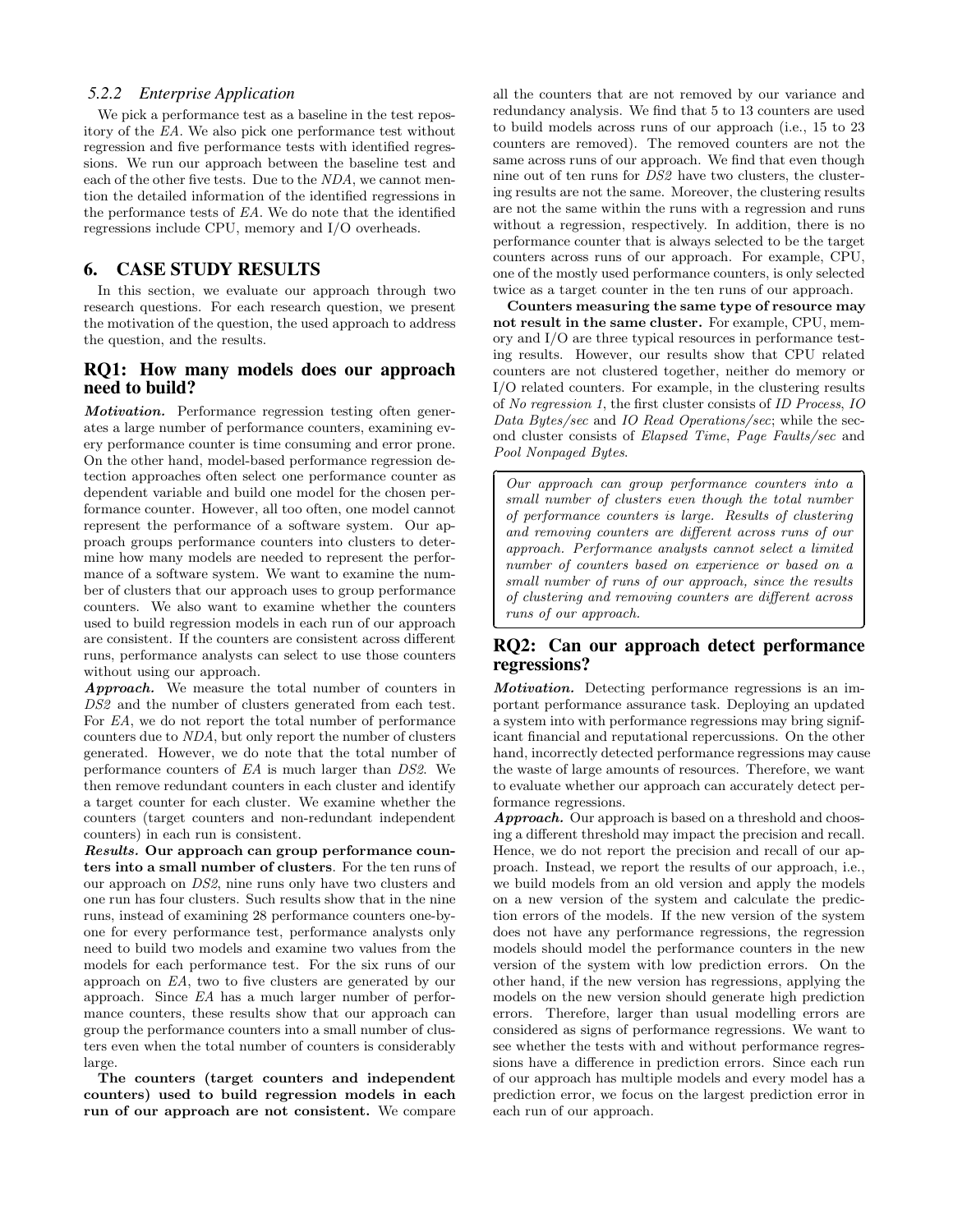#### *5.2.2 Enterprise Application*

We pick a performance test as a baseline in the test repository of the EA. We also pick one performance test without regression and five performance tests with identified regressions. We run our approach between the baseline test and each of the other five tests. Due to the NDA, we cannot mention the detailed information of the identified regressions in the performance tests of EA. We do note that the identified regressions include CPU, memory and I/O overheads.

# 6. CASE STUDY RESULTS

In this section, we evaluate our approach through two research questions. For each research question, we present the motivation of the question, the used approach to address the question, and the results.

### RQ1: How many models does our approach need to build?

Motivation. Performance regression testing often generates a large number of performance counters, examining every performance counter is time consuming and error prone. On the other hand, model-based performance regression detection approaches often select one performance counter as dependent variable and build one model for the chosen performance counter. However, all too often, one model cannot represent the performance of a software system. Our approach groups performance counters into clusters to determine how many models are needed to represent the performance of a software system. We want to examine the number of clusters that our approach uses to group performance counters. We also want to examine whether the counters used to build regression models in each run of our approach are consistent. If the counters are consistent across different runs, performance analysts can select to use those counters without using our approach.

Approach. We measure the total number of counters in DS2 and the number of clusters generated from each test. For EA, we do not report the total number of performance counters due to NDA, but only report the number of clusters generated. However, we do note that the total number of performance counters of EA is much larger than DS2. We then remove redundant counters in each cluster and identify a target counter for each cluster. We examine whether the counters (target counters and non-redundant independent counters) in each run is consistent.

Results. Our approach can group performance counters into a small number of clusters. For the ten runs of our approach on DS2, nine runs only have two clusters and one run has four clusters. Such results show that in the nine runs, instead of examining 28 performance counters one-byone for every performance test, performance analysts only need to build two models and examine two values from the models for each performance test. For the six runs of our approach on EA, two to five clusters are generated by our approach. Since EA has a much larger number of performance counters, these results show that our approach can group the performance counters into a small number of clusters even when the total number of counters is considerably large.

The counters (target counters and independent counters) used to build regression models in each run of our approach are not consistent. We compare all the counters that are not removed by our variance and redundancy analysis. We find that 5 to 13 counters are used to build models across runs of our approach (i.e., 15 to 23 counters are removed). The removed counters are not the same across runs of our approach. We find that even though nine out of ten runs for DS2 have two clusters, the clustering results are not the same. Moreover, the clustering results are not the same within the runs with a regression and runs without a regression, respectively. In addition, there is no performance counter that is always selected to be the target counters across runs of our approach. For example, CPU, one of the mostly used performance counters, is only selected twice as a target counter in the ten runs of our approach.

Counters measuring the same type of resource may not result in the same cluster. For example, CPU, memory and I/O are three typical resources in performance testing results. However, our results show that CPU related counters are not clustered together, neither do memory or I/O related counters. For example, in the clustering results of No regression 1, the first cluster consists of ID Process, IO Data Bytes/sec and IO Read Operations/sec; while the second cluster consists of Elapsed Time, Page Faults/sec and Pool Nonpaged Bytes.

Our approach can group performance counters into a small number of clusters even though the total number of performance counters is large. Results of clustering and removing counters are different across runs of our approach. Performance analysts cannot select a limited number of counters based on experience or based on a small number of runs of our approach, since the results of clustering and removing counters are different across runs of our approach.

Ĭ.

Į.

✄

Ļ

# RQ2: Can our approach detect performance regressions?

Motivation. Detecting performance regressions is an important performance assurance task. Deploying an updated a system into with performance regressions may bring significant financial and reputational repercussions. On the other hand, incorrectly detected performance regressions may cause the waste of large amounts of resources. Therefore, we want to evaluate whether our approach can accurately detect performance regressions.

Approach. Our approach is based on a threshold and choosing a different threshold may impact the precision and recall. Hence, we do not report the precision and recall of our approach. Instead, we report the results of our approach, i.e., we build models from an old version and apply the models on a new version of the system and calculate the prediction errors of the models. If the new version of the system does not have any performance regressions, the regression models should model the performance counters in the new version of the system with low prediction errors. On the other hand, if the new version has regressions, applying the models on the new version should generate high prediction errors. Therefore, larger than usual modelling errors are considered as signs of performance regressions. We want to see whether the tests with and without performance regressions have a difference in prediction errors. Since each run of our approach has multiple models and every model has a prediction error, we focus on the largest prediction error in each run of our approach.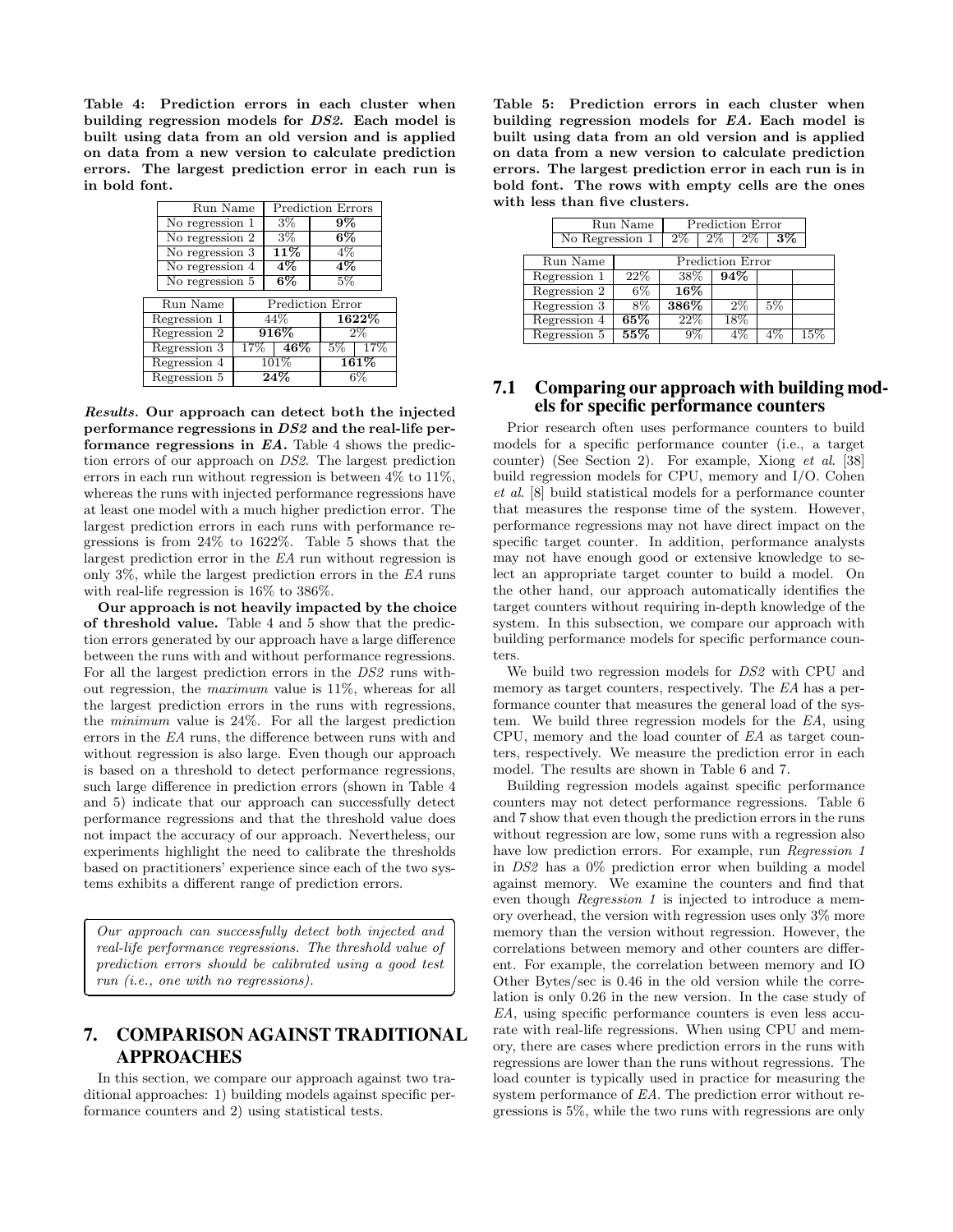Table 4: Prediction errors in each cluster when building regression models for DS2. Each model is built using data from an old version and is applied on data from a new version to calculate prediction errors. The largest prediction error in each run is in bold font.

|              | $\overline{\text{Run}}$ Name |        |  | Prediction Errors       |       |        |
|--------------|------------------------------|--------|--|-------------------------|-------|--------|
|              | No regression 1              |        |  | $\overline{3}\%$        | $9\%$ |        |
|              | No regression 2              |        |  | $3\%$                   | $6\%$ |        |
|              | No regression 3              |        |  | $11\%$                  | $4\%$ |        |
|              | No regression 4              |        |  | $4\%$                   | $4\%$ |        |
|              | No regression 5              |        |  | $6\%$                   | $5\%$ |        |
|              | Run Name                     |        |  | <b>Prediction Error</b> |       |        |
|              |                              |        |  |                         |       |        |
| Regression 1 |                              |        |  | 44%                     |       | 1622\% |
| Regression 2 |                              |        |  | $916\%$                 |       | $2\%$  |
| Regression 3 |                              | $17\%$ |  | $46\%$                  | $5\%$ | 17%    |
| Regression 4 |                              |        |  | 101\%                   |       | 161\%  |
| Regression 5 |                              |        |  | $24\%$                  |       | 6%     |

Results. Our approach can detect both the injected performance regressions in DS2 and the real-life performance regressions in  $EA$ . Table 4 shows the prediction errors of our approach on DS2. The largest prediction errors in each run without regression is between 4% to 11%, whereas the runs with injected performance regressions have at least one model with a much higher prediction error. The largest prediction errors in each runs with performance regressions is from 24% to 1622%. Table 5 shows that the largest prediction error in the EA run without regression is only 3%, while the largest prediction errors in the EA runs with real-life regression is 16% to 386%.

Our approach is not heavily impacted by the choice of threshold value. Table 4 and 5 show that the prediction errors generated by our approach have a large difference between the runs with and without performance regressions. For all the largest prediction errors in the DS2 runs without regression, the maximum value is 11%, whereas for all the largest prediction errors in the runs with regressions, the minimum value is 24%. For all the largest prediction errors in the EA runs, the difference between runs with and without regression is also large. Even though our approach is based on a threshold to detect performance regressions, such large difference in prediction errors (shown in Table 4 and 5) indicate that our approach can successfully detect performance regressions and that the threshold value does not impact the accuracy of our approach. Nevertheless, our experiments highlight the need to calibrate the thresholds based on practitioners' experience since each of the two systems exhibits a different range of prediction errors.

Our approach can successfully detect both injected and real-life performance regressions. The threshold value of prediction errors should be calibrated using a good test run (i.e., one with no regressions).

Ĭ.

 $^{\prime}$ 

✄

✂

# 7. COMPARISON AGAINST TRADITIONAL APPROACHES

In this section, we compare our approach against two traditional approaches: 1) building models against specific performance counters and 2) using statistical tests.

Table 5: Prediction errors in each cluster when building regression models for EA. Each model is built using data from an old version and is applied on data from a new version to calculate prediction errors. The largest prediction error in each run is in bold font. The rows with empty cells are the ones with less than five clusters.

| Run Name        |        | Prediction Error        |                |        |       |     |
|-----------------|--------|-------------------------|----------------|--------|-------|-----|
| No Regression 1 |        | $2\%$                   | $2\%$<br>$2\%$ |        | $3\%$ |     |
| Run Name        |        | <b>Prediction Error</b> |                |        |       |     |
| Regression 1    | 22%    | $38\%$                  |                | $94\%$ |       |     |
| Regression 2    | $6\%$  | 16%                     |                |        |       |     |
| Regression 3    | 8%     | 386%                    |                | 2%     | 5%    |     |
| Regression 4    | $65\%$ | $22\%$                  |                | 18%    |       |     |
| Regression 5    | $55\%$ | 9%                      |                | 4%     | 4%    | 15% |

### 7.1 Comparing our approach with building models for specific performance counters

Prior research often uses performance counters to build models for a specific performance counter (i.e., a target counter) (See Section 2). For example, Xiong et al. [38] build regression models for CPU, memory and I/O. Cohen et al. [8] build statistical models for a performance counter that measures the response time of the system. However, performance regressions may not have direct impact on the specific target counter. In addition, performance analysts may not have enough good or extensive knowledge to select an appropriate target counter to build a model. On the other hand, our approach automatically identifies the target counters without requiring in-depth knowledge of the system. In this subsection, we compare our approach with building performance models for specific performance counters.

We build two regression models for DS2 with CPU and memory as target counters, respectively. The EA has a performance counter that measures the general load of the system. We build three regression models for the EA, using CPU, memory and the load counter of EA as target counters, respectively. We measure the prediction error in each model. The results are shown in Table 6 and 7.

Building regression models against specific performance counters may not detect performance regressions. Table 6 and 7 show that even though the prediction errors in the runs without regression are low, some runs with a regression also have low prediction errors. For example, run Regression 1 in DS2 has a 0% prediction error when building a model against memory. We examine the counters and find that even though Regression 1 is injected to introduce a memory overhead, the version with regression uses only 3% more memory than the version without regression. However, the correlations between memory and other counters are different. For example, the correlation between memory and IO Other Bytes/sec is 0.46 in the old version while the correlation is only 0.26 in the new version. In the case study of EA, using specific performance counters is even less accurate with real-life regressions. When using CPU and memory, there are cases where prediction errors in the runs with regressions are lower than the runs without regressions. The load counter is typically used in practice for measuring the system performance of EA. The prediction error without regressions is 5%, while the two runs with regressions are only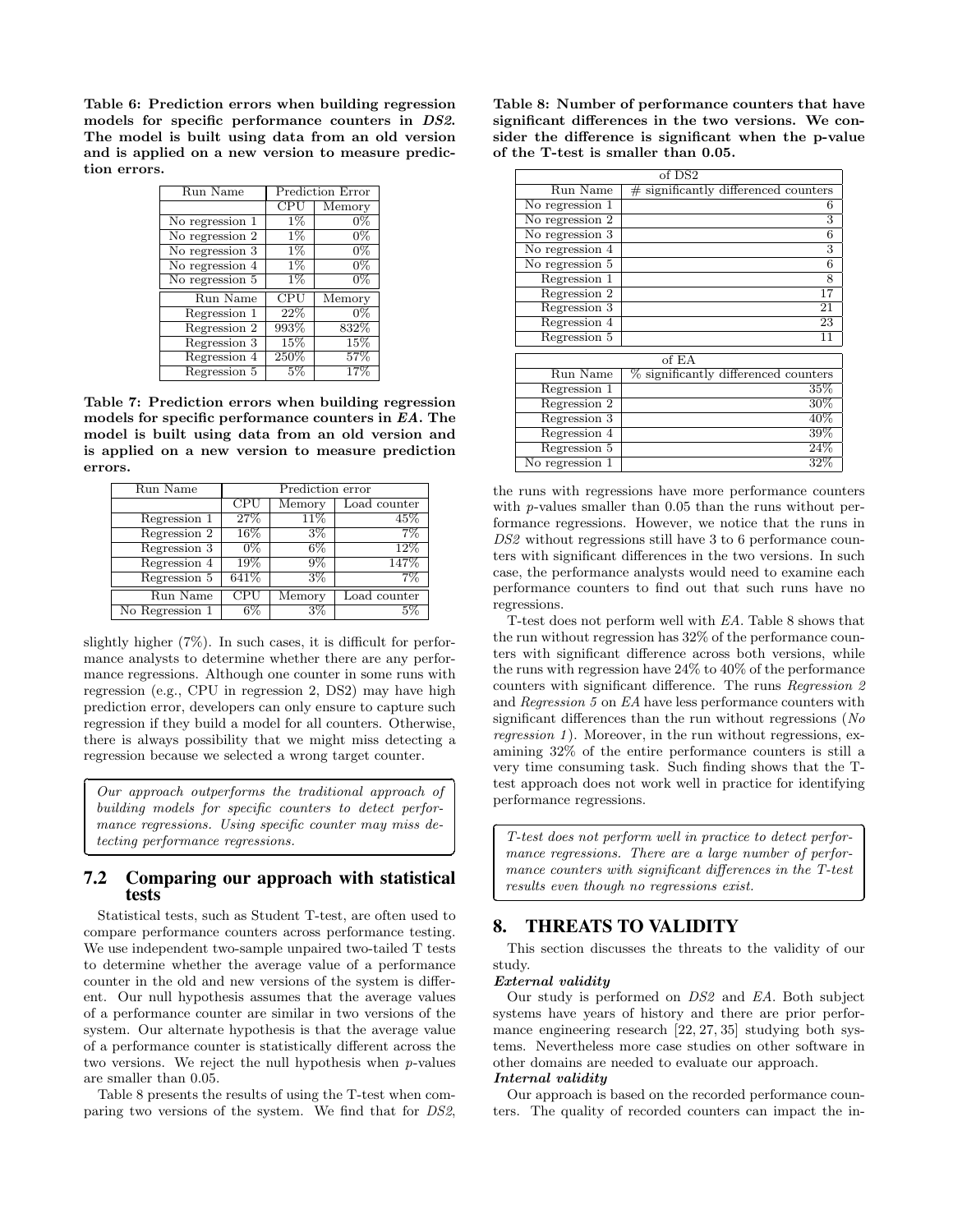Table 6: Prediction errors when building regression models for specific performance counters in DS2. The model is built using data from an old version and is applied on a new version to measure prediction errors.

| Prediction Error<br>CPU<br>Memory<br>$1\%$<br>No regression $1$<br>$0\%$<br>$1\%$<br>No regression 2<br>$0\%$<br>No regression 3<br>$1\%$<br>$0\%$<br>No regression 4<br>$1\%$<br>$0\%$<br>No regression 5<br>$1\%$<br>$0\%$<br>Run Name<br>$\overline{\text{Memory}}$<br>CPU<br>22%<br>Regression 1<br>$0\%$<br>993%<br>Regression 2<br>832\%<br>15%<br>$15\%$<br>Regression 3<br>Regression 4<br>$250\%$<br>57%<br>Regression 5<br>$5\%$<br>17% |          |  |
|---------------------------------------------------------------------------------------------------------------------------------------------------------------------------------------------------------------------------------------------------------------------------------------------------------------------------------------------------------------------------------------------------------------------------------------------------|----------|--|
|                                                                                                                                                                                                                                                                                                                                                                                                                                                   | Run Name |  |
|                                                                                                                                                                                                                                                                                                                                                                                                                                                   |          |  |
|                                                                                                                                                                                                                                                                                                                                                                                                                                                   |          |  |
|                                                                                                                                                                                                                                                                                                                                                                                                                                                   |          |  |
|                                                                                                                                                                                                                                                                                                                                                                                                                                                   |          |  |
|                                                                                                                                                                                                                                                                                                                                                                                                                                                   |          |  |
|                                                                                                                                                                                                                                                                                                                                                                                                                                                   |          |  |
|                                                                                                                                                                                                                                                                                                                                                                                                                                                   |          |  |
|                                                                                                                                                                                                                                                                                                                                                                                                                                                   |          |  |
|                                                                                                                                                                                                                                                                                                                                                                                                                                                   |          |  |
|                                                                                                                                                                                                                                                                                                                                                                                                                                                   |          |  |
|                                                                                                                                                                                                                                                                                                                                                                                                                                                   |          |  |
|                                                                                                                                                                                                                                                                                                                                                                                                                                                   |          |  |

Table 7: Prediction errors when building regression models for specific performance counters in EA. The model is built using data from an old version and is applied on a new version to measure prediction errors.

| Run Name        | Prediction error |        |              |  |  |
|-----------------|------------------|--------|--------------|--|--|
|                 | $_{\rm CPU}$     | Memory | Load counter |  |  |
| Regression 1    | 27%              | 11\%   | 45%          |  |  |
| Regression 2    | 16%              | $3\%$  | 7%           |  |  |
| Regression 3    | $0\%$            | $6\%$  | 12%          |  |  |
| Regression 4    | 19%              | 9%     | 147%         |  |  |
| Regression 5    | 641\%            | $3\%$  | 7%           |  |  |
| Run Name        | CPU              | Memory | Load counter |  |  |
| No Regression 1 |                  | 3%     |              |  |  |

slightly higher (7%). In such cases, it is difficult for performance analysts to determine whether there are any performance regressions. Although one counter in some runs with regression (e.g., CPU in regression 2, DS2) may have high prediction error, developers can only ensure to capture such regression if they build a model for all counters. Otherwise, there is always possibility that we might miss detecting a regression because we selected a wrong target counter.

Our approach outperforms the traditional approach of building models for specific counters to detect performance regressions. Using specific counter may miss detecting performance regressions.

✄

 $\overline{a}$ 

### 7.2 Comparing our approach with statistical tests

Statistical tests, such as Student T-test, are often used to compare performance counters across performance testing. We use independent two-sample unpaired two-tailed T tests to determine whether the average value of a performance counter in the old and new versions of the system is different. Our null hypothesis assumes that the average values of a performance counter are similar in two versions of the system. Our alternate hypothesis is that the average value of a performance counter is statistically different across the two versions. We reject the null hypothesis when  $p$ -values are smaller than 0.05.

Table 8 presents the results of using the T-test when comparing two versions of the system. We find that for DS2, Table 8: Number of performance counters that have significant differences in the two versions. We consider the difference is significant when the p-value of the T-test is smaller than 0.05.

|                 | of DS2                                 |
|-----------------|----------------------------------------|
| Run Name        | $#$ significantly differenced counters |
| No regression 1 | 6                                      |
| No regression 2 | 3                                      |
| No regression 3 | 6                                      |
| No regression 4 | 3                                      |
| No regression 5 | $\overline{6}$                         |
| Regression 1    | 8                                      |
| Regression 2    | 17                                     |
| Regression 3    | 21                                     |
| Regression 4    | 23                                     |
| Regression 5    | 11                                     |
|                 | of EA                                  |
| Run Name        | % significantly differenced counters   |
| Regression 1    | $35\%$                                 |
| Regression 2    | 30%                                    |
| Regression 3    | 40%                                    |
| Regression 4    | 39%                                    |
| Regression 5    | 24%                                    |
| No regression 1 | 32%                                    |

the runs with regressions have more performance counters with *p*-values smaller than 0.05 than the runs without performance regressions. However, we notice that the runs in DS2 without regressions still have 3 to 6 performance counters with significant differences in the two versions. In such case, the performance analysts would need to examine each performance counters to find out that such runs have no regressions.

T-test does not perform well with EA. Table 8 shows that the run without regression has 32% of the performance counters with significant difference across both versions, while the runs with regression have 24% to 40% of the performance counters with significant difference. The runs Regression 2 and Regression 5 on EA have less performance counters with significant differences than the run without regressions (No regression  $1$ ). Moreover, in the run without regressions, examining 32% of the entire performance counters is still a very time consuming task. Such finding shows that the Ttest approach does not work well in practice for identifying performance regressions.

T-test does not perform well in practice to detect performance regressions. There are a large number of performance counters with significant differences in the T-test results even though no regressions exist.

Ĭ.

l.

# 8. THREATS TO VALIDITY

This section discusses the threats to the validity of our study.

#### External validity

Ĭ.

 $^{\prime}$ 

✄

 $\overline{a}$ 

Our study is performed on DS2 and EA. Both subject systems have years of history and there are prior performance engineering research [22, 27, 35] studying both systems. Nevertheless more case studies on other software in other domains are needed to evaluate our approach.

#### Internal validity

Our approach is based on the recorded performance counters. The quality of recorded counters can impact the in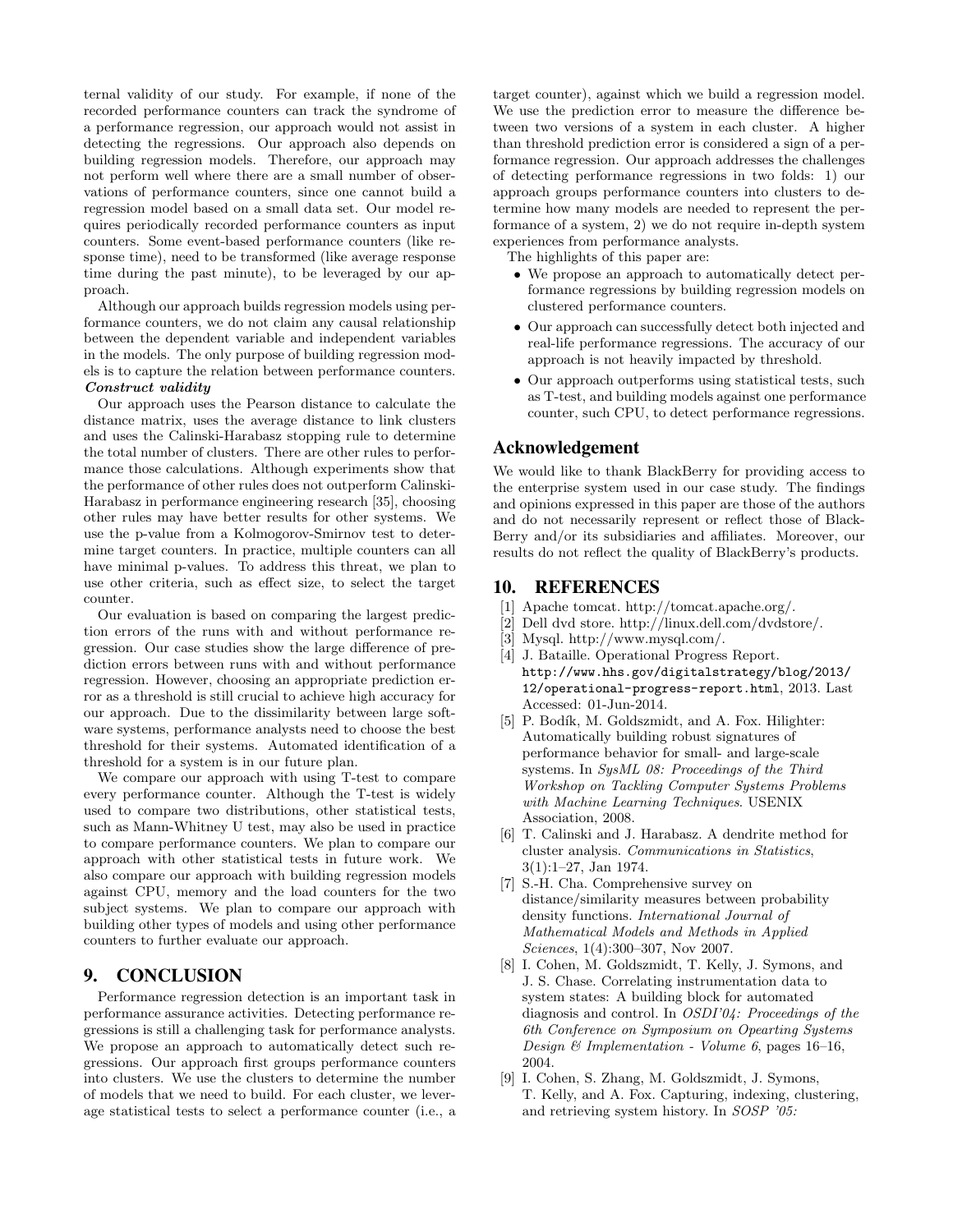ternal validity of our study. For example, if none of the recorded performance counters can track the syndrome of a performance regression, our approach would not assist in detecting the regressions. Our approach also depends on building regression models. Therefore, our approach may not perform well where there are a small number of observations of performance counters, since one cannot build a regression model based on a small data set. Our model requires periodically recorded performance counters as input counters. Some event-based performance counters (like response time), need to be transformed (like average response time during the past minute), to be leveraged by our approach.

Although our approach builds regression models using performance counters, we do not claim any causal relationship between the dependent variable and independent variables in the models. The only purpose of building regression models is to capture the relation between performance counters. Construct validity

Our approach uses the Pearson distance to calculate the distance matrix, uses the average distance to link clusters and uses the Calinski-Harabasz stopping rule to determine the total number of clusters. There are other rules to performance those calculations. Although experiments show that the performance of other rules does not outperform Calinski-Harabasz in performance engineering research [35], choosing other rules may have better results for other systems. We use the p-value from a Kolmogorov-Smirnov test to determine target counters. In practice, multiple counters can all have minimal p-values. To address this threat, we plan to use other criteria, such as effect size, to select the target counter.

Our evaluation is based on comparing the largest prediction errors of the runs with and without performance regression. Our case studies show the large difference of prediction errors between runs with and without performance regression. However, choosing an appropriate prediction error as a threshold is still crucial to achieve high accuracy for our approach. Due to the dissimilarity between large software systems, performance analysts need to choose the best threshold for their systems. Automated identification of a threshold for a system is in our future plan.

We compare our approach with using T-test to compare every performance counter. Although the T-test is widely used to compare two distributions, other statistical tests, such as Mann-Whitney U test, may also be used in practice to compare performance counters. We plan to compare our approach with other statistical tests in future work. We also compare our approach with building regression models against CPU, memory and the load counters for the two subject systems. We plan to compare our approach with building other types of models and using other performance counters to further evaluate our approach.

## 9. CONCLUSION

Performance regression detection is an important task in performance assurance activities. Detecting performance regressions is still a challenging task for performance analysts. We propose an approach to automatically detect such regressions. Our approach first groups performance counters into clusters. We use the clusters to determine the number of models that we need to build. For each cluster, we leverage statistical tests to select a performance counter (i.e., a

target counter), against which we build a regression model. We use the prediction error to measure the difference between two versions of a system in each cluster. A higher than threshold prediction error is considered a sign of a performance regression. Our approach addresses the challenges of detecting performance regressions in two folds: 1) our approach groups performance counters into clusters to determine how many models are needed to represent the performance of a system, 2) we do not require in-depth system experiences from performance analysts.

The highlights of this paper are:

- We propose an approach to automatically detect performance regressions by building regression models on clustered performance counters.
- Our approach can successfully detect both injected and real-life performance regressions. The accuracy of our approach is not heavily impacted by threshold.
- Our approach outperforms using statistical tests, such as T-test, and building models against one performance counter, such CPU, to detect performance regressions.

# Acknowledgement

We would like to thank BlackBerry for providing access to the enterprise system used in our case study. The findings and opinions expressed in this paper are those of the authors and do not necessarily represent or reflect those of Black-Berry and/or its subsidiaries and affiliates. Moreover, our results do not reflect the quality of BlackBerry's products.

# 10. REFERENCES

- [1] Apache tomcat. http://tomcat.apache.org/.
- [2] Dell dvd store. http://linux.dell.com/dvdstore/.
- [3] Mysql. http://www.mysql.com/.
- [4] J. Bataille. Operational Progress Report. http://www.hhs.gov/digitalstrategy/blog/2013/ 12/operational-progress-report.html, 2013. Last Accessed: 01-Jun-2014.
- [5] P. Bodík, M. Goldszmidt, and A. Fox. Hilighter: Automatically building robust signatures of performance behavior for small- and large-scale systems. In SysML 08: Proceedings of the Third Workshop on Tackling Computer Systems Problems with Machine Learning Techniques. USENIX Association, 2008.
- [6] T. Calinski and J. Harabasz. A dendrite method for cluster analysis. Communications in Statistics, 3(1):1–27, Jan 1974.
- [7] S.-H. Cha. Comprehensive survey on distance/similarity measures between probability density functions. International Journal of Mathematical Models and Methods in Applied Sciences, 1(4):300–307, Nov 2007.
- [8] I. Cohen, M. Goldszmidt, T. Kelly, J. Symons, and J. S. Chase. Correlating instrumentation data to system states: A building block for automated diagnosis and control. In OSDI'04: Proceedings of the 6th Conference on Symposium on Opearting Systems Design  $\mathcal{B}$  Implementation - Volume 6, pages 16–16, 2004.
- [9] I. Cohen, S. Zhang, M. Goldszmidt, J. Symons, T. Kelly, and A. Fox. Capturing, indexing, clustering, and retrieving system history. In SOSP '05: